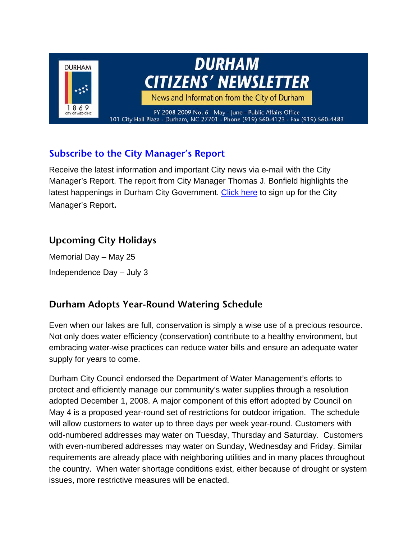

# **Subscribe to the City Manager's Report**

Receive the latest information and important City news via e-mail with the City Manager's Report. The report from City Manager Thomas J. Bonfield highlights the latest happenings in Durham City Government. Click here to sign up for the City Manager's Report**.** 

## **Upcoming City Holidays**

Memorial Day – May 25 Independence Day – July 3

# **Durham Adopts Year-Round Watering Schedule**

Even when our lakes are full, conservation is simply a wise use of a precious resource. Not only does water efficiency (conservation) contribute to a healthy environment, but embracing water-wise practices can reduce water bills and ensure an adequate water supply for years to come.

Durham City Council endorsed the Department of Water Management's efforts to protect and efficiently manage our community's water supplies through a resolution adopted December 1, 2008. A major component of this effort adopted by Council on May 4 is a proposed year-round set of restrictions for outdoor irrigation. The schedule will allow customers to water up to three days per week year-round. Customers with odd-numbered addresses may water on Tuesday, Thursday and Saturday. Customers with even-numbered addresses may water on Sunday, Wednesday and Friday. Similar requirements are already place with neighboring utilities and in many places throughout the country. When water shortage conditions exist, either because of drought or system issues, more restrictive measures will be enacted.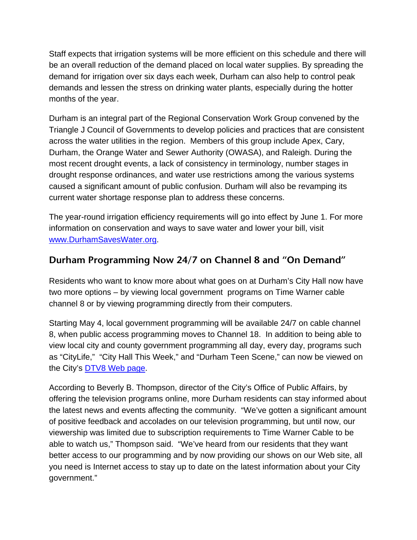Staff expects that irrigation systems will be more efficient on this schedule and there will be an overall reduction of the demand placed on local water supplies. By spreading the demand for irrigation over six days each week, Durham can also help to control peak demands and lessen the stress on drinking water plants, especially during the hotter months of the year.

Durham is an integral part of the Regional Conservation Work Group convened by the Triangle J Council of Governments to develop policies and practices that are consistent across the water utilities in the region. Members of this group include Apex, Cary, Durham, the Orange Water and Sewer Authority (OWASA), and Raleigh. During the most recent drought events, a lack of consistency in terminology, number stages in drought response ordinances, and water use restrictions among the various systems caused a significant amount of public confusion. Durham will also be revamping its current water shortage response plan to address these concerns.

The year-round irrigation efficiency requirements will go into effect by June 1. For more information on conservation and ways to save water and lower your bill, visit www.DurhamSavesWater.org.

## **Durham Programming Now 24/7 on Channel 8 and "On Demand"**

Residents who want to know more about what goes on at Durham's City Hall now have two more options – by viewing local government programs on Time Warner cable channel 8 or by viewing programming directly from their computers.

Starting May 4, local government programming will be available 24/7 on cable channel 8, when public access programming moves to Channel 18. In addition to being able to view local city and county government programming all day, every day, programs such as "CityLife," "City Hall This Week," and "Durham Teen Scene," can now be viewed on the City's DTV8 Web page.

According to Beverly B. Thompson, director of the City's Office of Public Affairs, by offering the television programs online, more Durham residents can stay informed about the latest news and events affecting the community. "We've gotten a significant amount of positive feedback and accolades on our television programming, but until now, our viewership was limited due to subscription requirements to Time Warner Cable to be able to watch us," Thompson said. "We've heard from our residents that they want better access to our programming and by now providing our shows on our Web site, all you need is Internet access to stay up to date on the latest information about your City government."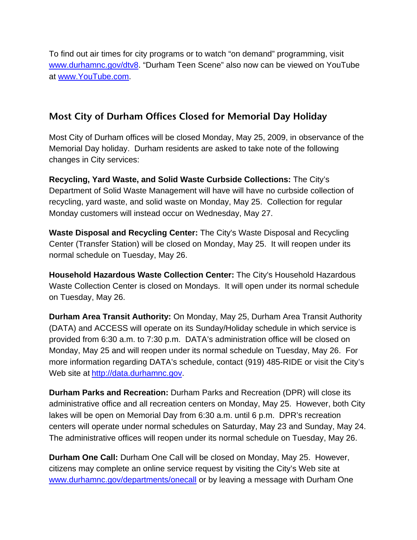To find out air times for city programs or to watch "on demand" programming, visit www.durhamnc.gov/dtv8. "Durham Teen Scene" also now can be viewed on YouTube at www.YouTube.com.

#### **Most City of Durham Offices Closed for Memorial Day Holiday**

Most City of Durham offices will be closed Monday, May 25, 2009, in observance of the Memorial Day holiday. Durham residents are asked to take note of the following changes in City services:

**Recycling, Yard Waste, and Solid Waste Curbside Collections:** The City's Department of Solid Waste Management will have will have no curbside collection of recycling, yard waste, and solid waste on Monday, May 25. Collection for regular Monday customers will instead occur on Wednesday, May 27.

**Waste Disposal and Recycling Center:** The City's Waste Disposal and Recycling Center (Transfer Station) will be closed on Monday, May 25. It will reopen under its normal schedule on Tuesday, May 26.

**Household Hazardous Waste Collection Center:** The City's Household Hazardous Waste Collection Center is closed on Mondays. It will open under its normal schedule on Tuesday, May 26.

**Durham Area Transit Authority:** On Monday, May 25, Durham Area Transit Authority (DATA) and ACCESS will operate on its Sunday/Holiday schedule in which service is provided from 6:30 a.m. to 7:30 p.m. DATA's administration office will be closed on Monday, May 25 and will reopen under its normal schedule on Tuesday, May 26. For more information regarding DATA's schedule, contact (919) 485-RIDE or visit the City's Web site at http://data.durhamnc.gov.

**Durham Parks and Recreation:** Durham Parks and Recreation (DPR) will close its administrative office and all recreation centers on Monday, May 25. However, both City lakes will be open on Memorial Day from 6:30 a.m. until 6 p.m. DPR's recreation centers will operate under normal schedules on Saturday, May 23 and Sunday, May 24. The administrative offices will reopen under its normal schedule on Tuesday, May 26.

**Durham One Call:** Durham One Call will be closed on Monday, May 25. However, citizens may complete an online service request by visiting the City's Web site at www.durhamnc.gov/departments/onecall or by leaving a message with Durham One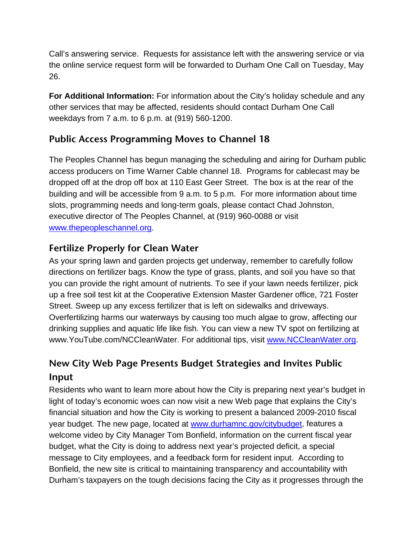Call's answering service. Requests for assistance left with the answering service or via the online service request form will be forwarded to Durham One Call on Tuesday, May 26.

**For Additional Information:** For information about the City's holiday schedule and any other services that may be affected, residents should contact Durham One Call weekdays from 7 a.m. to 6 p.m. at (919) 560-1200.

#### **Public Access Programming Moves to Channel 18**

The Peoples Channel has begun managing the scheduling and airing for Durham public access producers on Time Warner Cable channel 18. Programs for cablecast may be dropped off at the drop off box at 110 East Geer Street. The box is at the rear of the building and will be accessible from 9 a.m. to 5 p.m. For more information about time slots, programming needs and long-term goals, please contact Chad Johnston, executive director of The Peoples Channel, at (919) 960-0088 or visit www.thepeopleschannel.org.

## **Fertilize Properly for Clean Water**

As your spring lawn and garden projects get underway, remember to carefully follow directions on fertilizer bags. Know the type of grass, plants, and soil you have so that you can provide the right amount of nutrients. To see if your lawn needs fertilizer, pick up a free soil test kit at the Cooperative Extension Master Gardener office, 721 Foster Street. Sweep up any excess fertilizer that is left on sidewalks and driveways. Overfertilizing harms our waterways by causing too much algae to grow, affecting our drinking supplies and aquatic life like fish. You can view a new TV spot on fertilizing at www.YouTube.com/NCCleanWater. For additional tips, visit www.NCCleanWater.org.

# **New City Web Page Presents Budget Strategies and Invites Public Input**

Residents who want to learn more about how the City is preparing next year's budget in light of today's economic woes can now visit a new Web page that explains the City's financial situation and how the City is working to present a balanced 2009-2010 fiscal year budget. The new page, located at www.durhamnc.gov/citybudget, features a welcome video by City Manager Tom Bonfield, information on the current fiscal year budget, what the City is doing to address next year's projected deficit, a special message to City employees, and a feedback form for resident input. According to Bonfield, the new site is critical to maintaining transparency and accountability with Durham's taxpayers on the tough decisions facing the City as it progresses through the